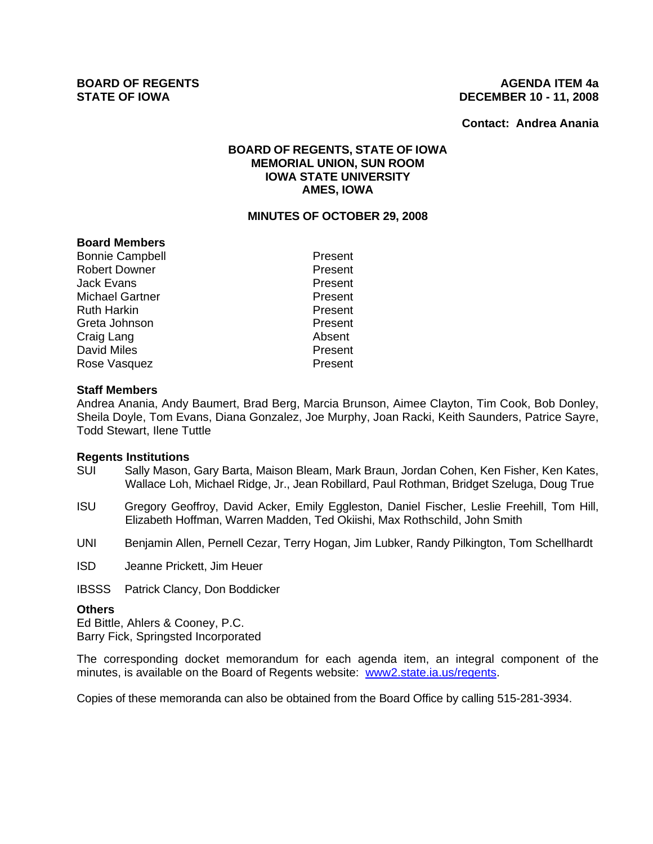### **BOARD OF REGENTS AGENUS AGENDA ITEM 4a STATE OF IOWA DECEMBER 10 - 11, 2008**

**Contact: Andrea Anania**

# **BOARD OF REGENTS, STATE OF IOWA MEMORIAL UNION, SUN ROOM IOWA STATE UNIVERSITY AMES, IOWA**

## **MINUTES OF OCTOBER 29, 2008**

### **Board Members**

Bonnie Campbell **Present** Robert Downer **Present** Jack Evans **Present** Michael Gartner **Present** Ruth Harkin **Present** Greta Johnson **Present** Craig Lang **Absent** David Miles **Present** Rose Vasquez **Present** 

### **Staff Members**

Andrea Anania, Andy Baumert, Brad Berg, Marcia Brunson, Aimee Clayton, Tim Cook, Bob Donley, Sheila Doyle, Tom Evans, Diana Gonzalez, Joe Murphy, Joan Racki, Keith Saunders, Patrice Sayre, Todd Stewart, Ilene Tuttle

#### **Regents Institutions**

- SUI Sally Mason, Gary Barta, Maison Bleam, Mark Braun, Jordan Cohen, Ken Fisher, Ken Kates, Wallace Loh, Michael Ridge, Jr., Jean Robillard, Paul Rothman, Bridget Szeluga, Doug True
- ISU Gregory Geoffroy, David Acker, Emily Eggleston, Daniel Fischer, Leslie Freehill, Tom Hill, Elizabeth Hoffman, Warren Madden, Ted Okiishi, Max Rothschild, John Smith
- UNI Benjamin Allen, Pernell Cezar, Terry Hogan, Jim Lubker, Randy Pilkington, Tom Schellhardt

ISD Jeanne Prickett, Jim Heuer

IBSSS Patrick Clancy, Don Boddicker

#### **Others**

Ed Bittle, Ahlers & Cooney, P.C. Barry Fick, Springsted Incorporated

The corresponding docket memorandum for each agenda item, an integral component of the minutes, is available on the Board of Regents website: www2.state.ia.us/regents.

Copies of these memoranda can also be obtained from the Board Office by calling 515-281-3934.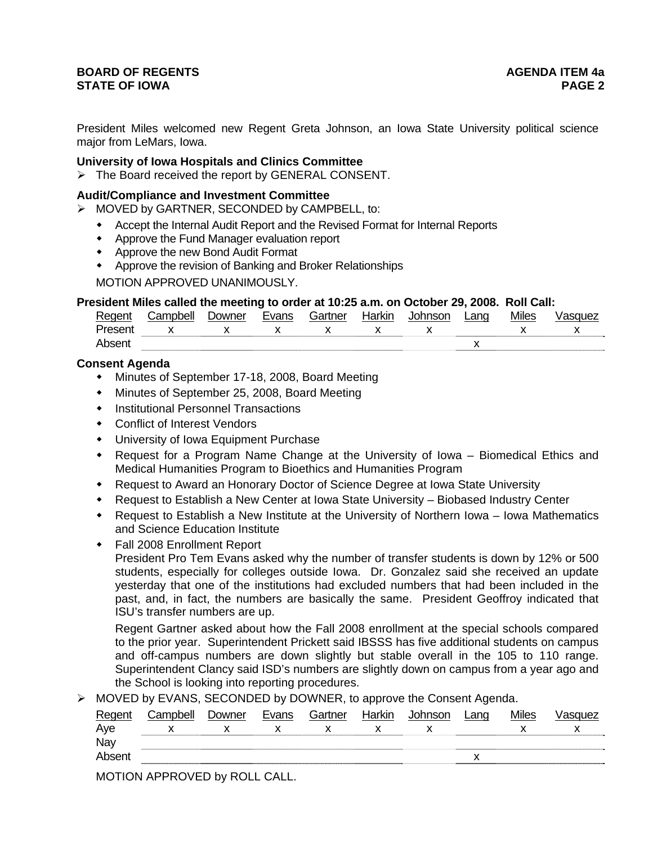# **BOARD OF REGENTS** AGENERAL BOARD OF REGENTS **STATE OF IOWA** PAGE 2

President Miles welcomed new Regent Greta Johnson, an Iowa State University political science major from LeMars, Iowa.

### **University of Iowa Hospitals and Clinics Committee**

¾ The Board received the report by GENERAL CONSENT.

#### **Audit/Compliance and Investment Committee**

- ¾ MOVED by GARTNER, SECONDED by CAMPBELL, to:
	- Accept the Internal Audit Report and the Revised Format for Internal Reports
	- Approve the Fund Manager evaluation report
	- Approve the new Bond Audit Format
	- Approve the revision of Banking and Broker Relationships

MOTION APPROVED UNANIMOUSLY.

#### **President Miles called the meeting to order at 10:25 a.m. on October 29, 2008. Roll Call:**

| Regent  | .ampbell | Jowner | -<br>Evans | Gartner | Harkır | าทรon | ∟anɑ | Miles | '≀ue∠ |
|---------|----------|--------|------------|---------|--------|-------|------|-------|-------|
| Present |          |        |            | ,,      |        |       |      |       | ,,    |
| ∆hsen   |          |        |            |         |        |       |      |       |       |

# **Consent Agenda**

- Minutes of September 17-18, 2008, Board Meeting
- Minutes of September 25, 2008, Board Meeting
- **•** Institutional Personnel Transactions
- Conflict of Interest Vendors
- University of Iowa Equipment Purchase
- Request for a Program Name Change at the University of Iowa Biomedical Ethics and Medical Humanities Program to Bioethics and Humanities Program
- Request to Award an Honorary Doctor of Science Degree at Iowa State University
- Request to Establish a New Center at Iowa State University Biobased Industry Center
- Request to Establish a New Institute at the University of Northern Iowa Iowa Mathematics and Science Education Institute
- Fall 2008 Enrollment Report

President Pro Tem Evans asked why the number of transfer students is down by 12% or 500 students, especially for colleges outside Iowa. Dr. Gonzalez said she received an update yesterday that one of the institutions had excluded numbers that had been included in the past, and, in fact, the numbers are basically the same. President Geoffroy indicated that ISU's transfer numbers are up.

Regent Gartner asked about how the Fall 2008 enrollment at the special schools compared to the prior year. Superintendent Prickett said IBSSS has five additional students on campus and off-campus numbers are down slightly but stable overall in the 105 to 110 range. Superintendent Clancy said ISD's numbers are slightly down on campus from a year ago and the School is looking into reporting procedures.

¾ MOVED by EVANS, SECONDED by DOWNER, to approve the Consent Agenda.

| Regent | Campbell     | Downer | Evans    | Gartner | Harkin | Johnson | Lang | <b>Miles</b> | Vasquez |
|--------|--------------|--------|----------|---------|--------|---------|------|--------------|---------|
| Aye    |              |        |          |         |        |         |      |              |         |
| Nay    |              |        |          |         |        |         |      |              |         |
| Absent |              |        |          |         |        |         |      |              |         |
|        | . <i>. .</i> |        | -------- |         |        |         |      |              |         |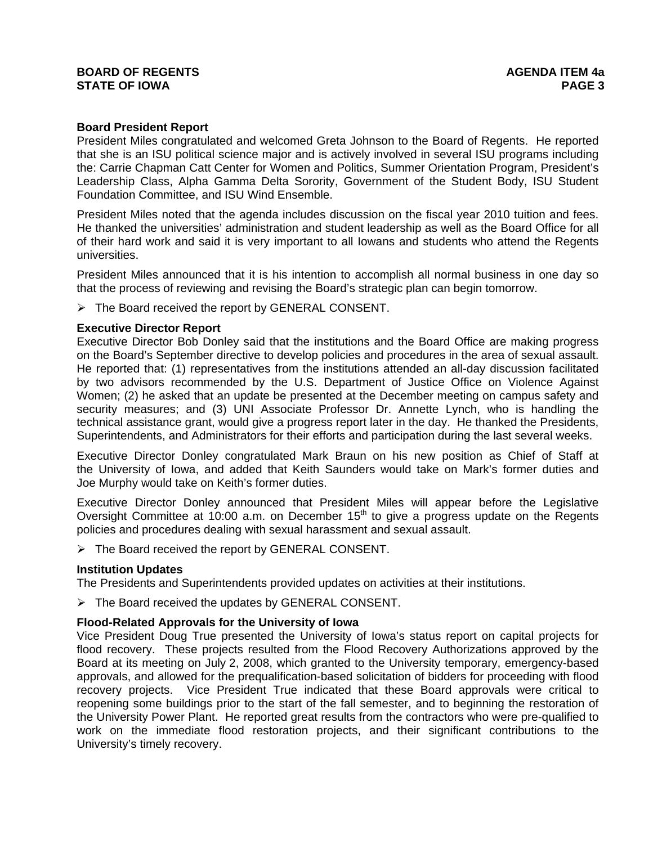# **BOARD OF REGENTS** AGENERAL BOARD OF REGENTS **STATE OF IOWA** PAGE 3

### **Board President Report**

President Miles congratulated and welcomed Greta Johnson to the Board of Regents. He reported that she is an ISU political science major and is actively involved in several ISU programs including the: Carrie Chapman Catt Center for Women and Politics, Summer Orientation Program, President's Leadership Class, Alpha Gamma Delta Sorority, Government of the Student Body, ISU Student Foundation Committee, and ISU Wind Ensemble.

President Miles noted that the agenda includes discussion on the fiscal year 2010 tuition and fees. He thanked the universities' administration and student leadership as well as the Board Office for all of their hard work and said it is very important to all Iowans and students who attend the Regents universities.

President Miles announced that it is his intention to accomplish all normal business in one day so that the process of reviewing and revising the Board's strategic plan can begin tomorrow.

 $\triangleright$  The Board received the report by GENERAL CONSENT.

### **Executive Director Report**

Executive Director Bob Donley said that the institutions and the Board Office are making progress on the Board's September directive to develop policies and procedures in the area of sexual assault. He reported that: (1) representatives from the institutions attended an all-day discussion facilitated by two advisors recommended by the U.S. Department of Justice Office on Violence Against Women; (2) he asked that an update be presented at the December meeting on campus safety and security measures; and (3) UNI Associate Professor Dr. Annette Lynch, who is handling the technical assistance grant, would give a progress report later in the day. He thanked the Presidents, Superintendents, and Administrators for their efforts and participation during the last several weeks.

Executive Director Donley congratulated Mark Braun on his new position as Chief of Staff at the University of Iowa, and added that Keith Saunders would take on Mark's former duties and Joe Murphy would take on Keith's former duties.

Executive Director Donley announced that President Miles will appear before the Legislative Oversight Committee at 10:00 a.m. on December  $15<sup>th</sup>$  to give a progress update on the Regents policies and procedures dealing with sexual harassment and sexual assault.

 $\triangleright$  The Board received the report by GENERAL CONSENT.

## **Institution Updates**

The Presidents and Superintendents provided updates on activities at their institutions.

 $\triangleright$  The Board received the updates by GENERAL CONSENT.

## **Flood-Related Approvals for the University of Iowa**

Vice President Doug True presented the University of Iowa's status report on capital projects for flood recovery. These projects resulted from the Flood Recovery Authorizations approved by the Board at its meeting on July 2, 2008, which granted to the University temporary, emergency-based approvals, and allowed for the prequalification-based solicitation of bidders for proceeding with flood recovery projects. Vice President True indicated that these Board approvals were critical to reopening some buildings prior to the start of the fall semester, and to beginning the restoration of the University Power Plant. He reported great results from the contractors who were pre-qualified to work on the immediate flood restoration projects, and their significant contributions to the University's timely recovery.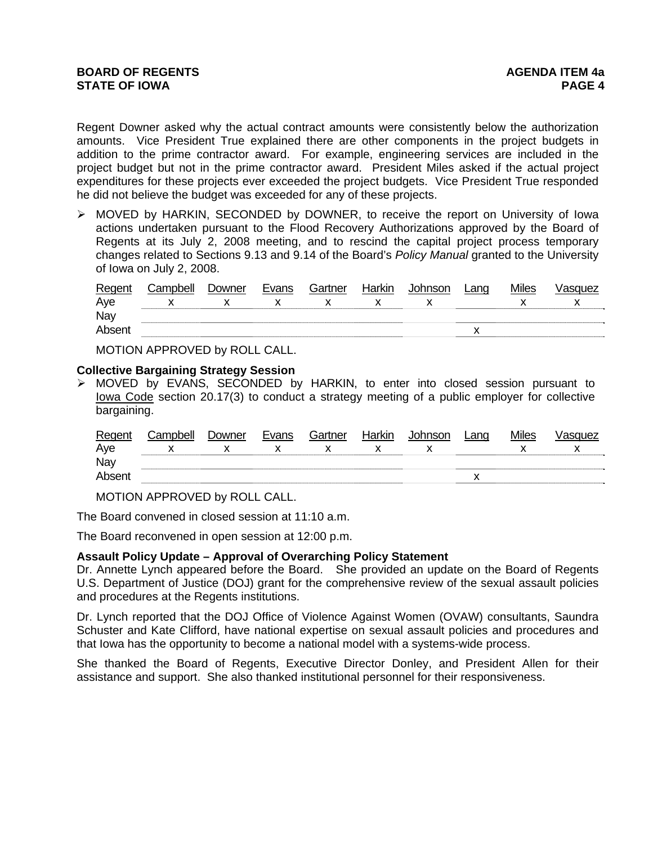Regent Downer asked why the actual contract amounts were consistently below the authorization amounts. Vice President True explained there are other components in the project budgets in addition to the prime contractor award. For example, engineering services are included in the project budget but not in the prime contractor award. President Miles asked if the actual project expenditures for these projects ever exceeded the project budgets. Vice President True responded he did not believe the budget was exceeded for any of these projects.

¾ MOVED by HARKIN, SECONDED by DOWNER, to receive the report on University of Iowa actions undertaken pursuant to the Flood Recovery Authorizations approved by the Board of Regents at its July 2, 2008 meeting, and to rescind the capital project process temporary changes related to Sections 9.13 and 9.14 of the Board's *Policy Manual* granted to the University of Iowa on July 2, 2008.

| Regent | Campbell | Downer | Evans | Gartner | Harkin | <b>Johnson</b> | Lanq | <b>Miles</b> | /asquez |
|--------|----------|--------|-------|---------|--------|----------------|------|--------------|---------|
| Aye    |          |        |       |         |        |                |      |              |         |
| Nay    |          |        |       |         |        |                |      |              |         |
| Absent |          |        |       |         |        |                |      |              |         |

MOTION APPROVED by ROLL CALL.

### **Collective Bargaining Strategy Session**

¾ MOVED by EVANS, SECONDED by HARKIN, to enter into closed session pursuant to lowa Code section 20.17(3) to conduct a strategy meeting of a public employer for collective bargaining.

| Regent | Campbell | Downer | Evans | Gartner | Harkin | Johnson | _anɑ | <b>Miles</b> | √asɑuez |
|--------|----------|--------|-------|---------|--------|---------|------|--------------|---------|
| Aye    |          |        |       |         |        |         |      |              |         |
| Nay    |          |        |       |         |        |         |      |              |         |
| Absent |          |        |       |         |        |         |      |              |         |

MOTION APPROVED by ROLL CALL.

The Board convened in closed session at 11:10 a.m.

The Board reconvened in open session at 12:00 p.m.

## **Assault Policy Update – Approval of Overarching Policy Statement**

Dr. Annette Lynch appeared before the Board. She provided an update on the Board of Regents U.S. Department of Justice (DOJ) grant for the comprehensive review of the sexual assault policies and procedures at the Regents institutions.

Dr. Lynch reported that the DOJ Office of Violence Against Women (OVAW) consultants, Saundra Schuster and Kate Clifford, have national expertise on sexual assault policies and procedures and that Iowa has the opportunity to become a national model with a systems-wide process.

She thanked the Board of Regents, Executive Director Donley, and President Allen for their assistance and support. She also thanked institutional personnel for their responsiveness.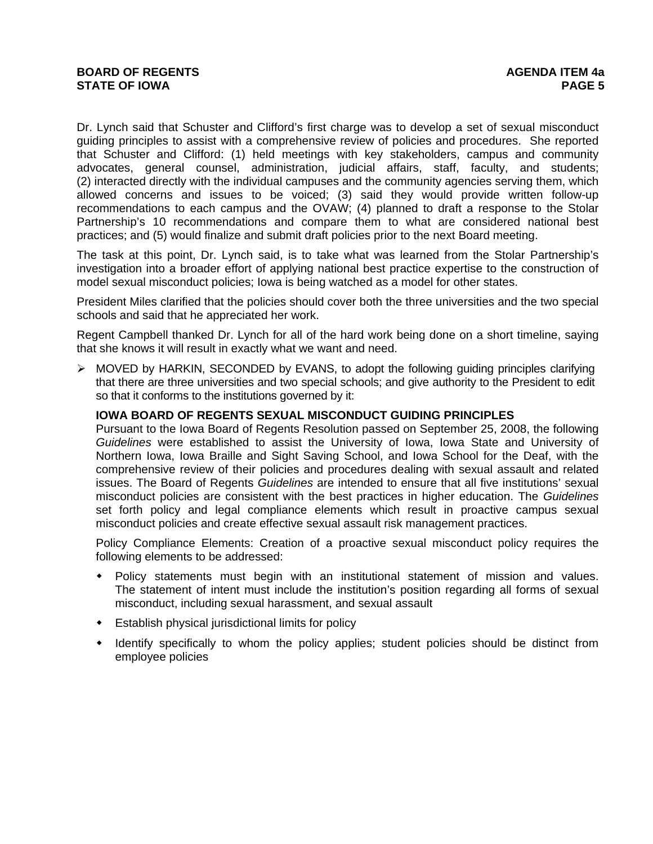Dr. Lynch said that Schuster and Clifford's first charge was to develop a set of sexual misconduct guiding principles to assist with a comprehensive review of policies and procedures. She reported that Schuster and Clifford: (1) held meetings with key stakeholders, campus and community advocates, general counsel, administration, judicial affairs, staff, faculty, and students; (2) interacted directly with the individual campuses and the community agencies serving them, which allowed concerns and issues to be voiced; (3) said they would provide written follow-up recommendations to each campus and the OVAW; (4) planned to draft a response to the Stolar Partnership's 10 recommendations and compare them to what are considered national best practices; and (5) would finalize and submit draft policies prior to the next Board meeting.

The task at this point, Dr. Lynch said, is to take what was learned from the Stolar Partnership's investigation into a broader effort of applying national best practice expertise to the construction of model sexual misconduct policies; Iowa is being watched as a model for other states.

President Miles clarified that the policies should cover both the three universities and the two special schools and said that he appreciated her work.

Regent Campbell thanked Dr. Lynch for all of the hard work being done on a short timeline, saying that she knows it will result in exactly what we want and need.

¾ MOVED by HARKIN, SECONDED by EVANS, to adopt the following guiding principles clarifying that there are three universities and two special schools; and give authority to the President to edit so that it conforms to the institutions governed by it:

## **IOWA BOARD OF REGENTS SEXUAL MISCONDUCT GUIDING PRINCIPLES**

Pursuant to the Iowa Board of Regents Resolution passed on September 25, 2008, the following *Guidelines* were established to assist the University of Iowa, Iowa State and University of Northern Iowa, Iowa Braille and Sight Saving School, and Iowa School for the Deaf, with the comprehensive review of their policies and procedures dealing with sexual assault and related issues. The Board of Regents *Guidelines* are intended to ensure that all five institutions' sexual misconduct policies are consistent with the best practices in higher education. The *Guidelines*  set forth policy and legal compliance elements which result in proactive campus sexual misconduct policies and create effective sexual assault risk management practices.

Policy Compliance Elements: Creation of a proactive sexual misconduct policy requires the following elements to be addressed:

- Policy statements must begin with an institutional statement of mission and values. The statement of intent must include the institution's position regarding all forms of sexual misconduct, including sexual harassment, and sexual assault
- Establish physical jurisdictional limits for policy
- Identify specifically to whom the policy applies; student policies should be distinct from employee policies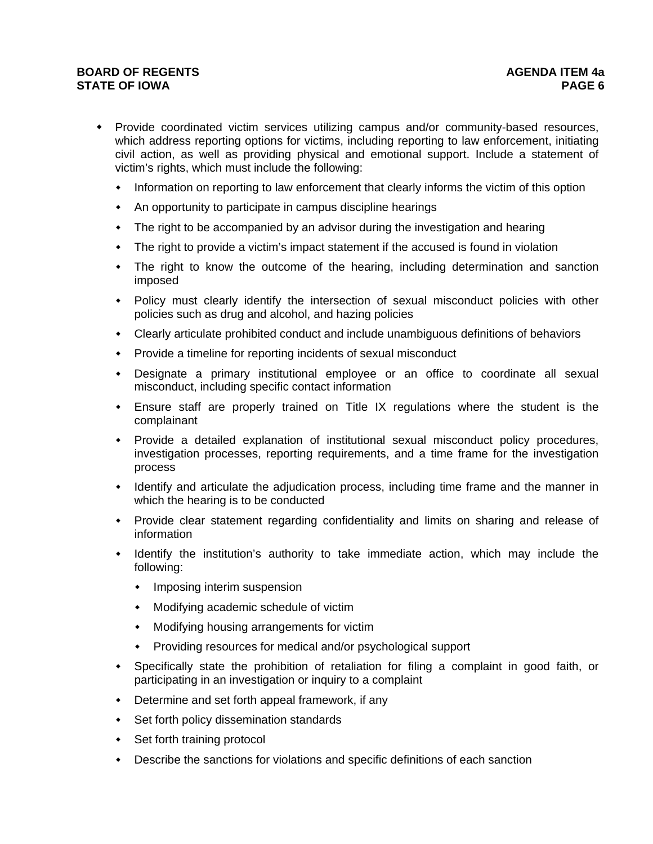# **BOARD OF REGENTS** AGENUS AGENDA ITEM 4a **STATE OF IOWA** PAGE 6 *PAGE 6*

- Provide coordinated victim services utilizing campus and/or community-based resources, which address reporting options for victims, including reporting to law enforcement, initiating civil action, as well as providing physical and emotional support. Include a statement of victim's rights, which must include the following:
	- Information on reporting to law enforcement that clearly informs the victim of this option
	- An opportunity to participate in campus discipline hearings
	- The right to be accompanied by an advisor during the investigation and hearing
	- The right to provide a victim's impact statement if the accused is found in violation
	- The right to know the outcome of the hearing, including determination and sanction imposed
	- Policy must clearly identify the intersection of sexual misconduct policies with other policies such as drug and alcohol, and hazing policies
	- Clearly articulate prohibited conduct and include unambiguous definitions of behaviors
	- Provide a timeline for reporting incidents of sexual misconduct
	- Designate a primary institutional employee or an office to coordinate all sexual misconduct, including specific contact information
	- Ensure staff are properly trained on Title IX regulations where the student is the complainant
	- Provide a detailed explanation of institutional sexual misconduct policy procedures, investigation processes, reporting requirements, and a time frame for the investigation process
	- Identify and articulate the adjudication process, including time frame and the manner in which the hearing is to be conducted
	- Provide clear statement regarding confidentiality and limits on sharing and release of information
	- Identify the institution's authority to take immediate action, which may include the following:
		- Imposing interim suspension
		- Modifying academic schedule of victim
		- Modifying housing arrangements for victim
		- Providing resources for medical and/or psychological support
	- Specifically state the prohibition of retaliation for filing a complaint in good faith, or participating in an investigation or inquiry to a complaint
	- Determine and set forth appeal framework, if any
	- Set forth policy dissemination standards
	- Set forth training protocol
	- Describe the sanctions for violations and specific definitions of each sanction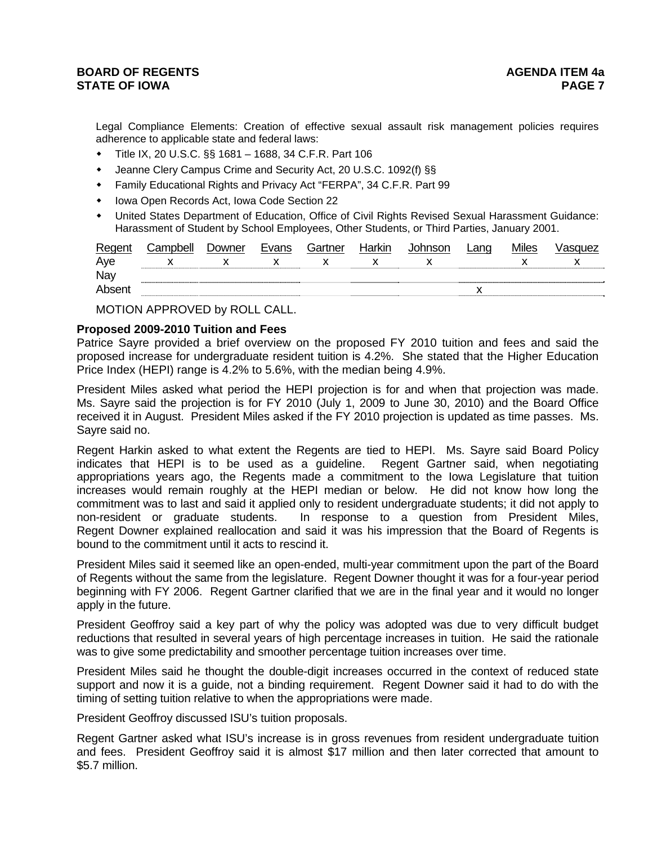Legal Compliance Elements: Creation of effective sexual assault risk management policies requires adherence to applicable state and federal laws:

- Title IX, 20 U.S.C. §§ 1681 1688, 34 C.F.R. Part 106
- Jeanne Clery Campus Crime and Security Act, 20 U.S.C. 1092(f) §§
- Family Educational Rights and Privacy Act "FERPA", 34 C.F.R. Part 99
- Iowa Open Records Act, Iowa Code Section 22
- United States Department of Education, Office of Civil Rights Revised Sexual Harassment Guidance: Harassment of Student by School Employees, Other Students, or Third Parties, January 2001.

| Regent | .<br>Campbell | Downer | Evans | Gartner | Harkin | Lang | <b>Miles</b> | /asquez |
|--------|---------------|--------|-------|---------|--------|------|--------------|---------|
| Ave    |               |        |       |         |        |      |              |         |
| Nay    |               |        |       |         |        |      |              |         |
| Absent |               |        |       |         |        |      |              |         |

MOTION APPROVED by ROLL CALL.

#### **Proposed 2009-2010 Tuition and Fees**

Patrice Sayre provided a brief overview on the proposed FY 2010 tuition and fees and said the proposed increase for undergraduate resident tuition is 4.2%. She stated that the Higher Education Price Index (HEPI) range is 4.2% to 5.6%, with the median being 4.9%.

President Miles asked what period the HEPI projection is for and when that projection was made. Ms. Sayre said the projection is for FY 2010 (July 1, 2009 to June 30, 2010) and the Board Office received it in August. President Miles asked if the FY 2010 projection is updated as time passes. Ms. Sayre said no.

Regent Harkin asked to what extent the Regents are tied to HEPI. Ms. Sayre said Board Policy indicates that HEPI is to be used as a guideline. Regent Gartner said, when negotiating appropriations years ago, the Regents made a commitment to the Iowa Legislature that tuition increases would remain roughly at the HEPI median or below. He did not know how long the commitment was to last and said it applied only to resident undergraduate students; it did not apply to non-resident or graduate students. In response to a question from President Miles, Regent Downer explained reallocation and said it was his impression that the Board of Regents is bound to the commitment until it acts to rescind it.

President Miles said it seemed like an open-ended, multi-year commitment upon the part of the Board of Regents without the same from the legislature. Regent Downer thought it was for a four-year period beginning with FY 2006. Regent Gartner clarified that we are in the final year and it would no longer apply in the future.

President Geoffroy said a key part of why the policy was adopted was due to very difficult budget reductions that resulted in several years of high percentage increases in tuition. He said the rationale was to give some predictability and smoother percentage tuition increases over time.

President Miles said he thought the double-digit increases occurred in the context of reduced state support and now it is a guide, not a binding requirement. Regent Downer said it had to do with the timing of setting tuition relative to when the appropriations were made.

President Geoffroy discussed ISU's tuition proposals.

Regent Gartner asked what ISU's increase is in gross revenues from resident undergraduate tuition and fees. President Geoffroy said it is almost \$17 million and then later corrected that amount to \$5.7 million.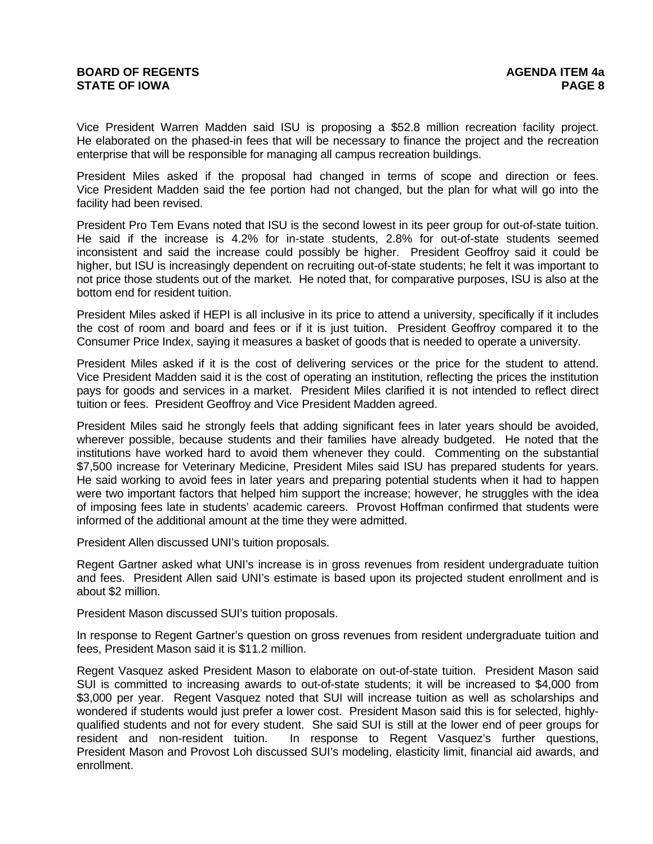Vice President Warren Madden said ISU is proposing a \$52.8 million recreation facility project. He elaborated on the phased-in fees that will be necessary to finance the project and the recreation enterprise that will be responsible for managing all campus recreation buildings.

President Miles asked if the proposal had changed in terms of scope and direction or fees. Vice President Madden said the fee portion had not changed, but the plan for what will go into the facility had been revised.

President Pro Tem Evans noted that ISU is the second lowest in its peer group for out-of-state tuition. He said if the increase is 4.2% for in-state students, 2.8% for out-of-state students seemed inconsistent and said the increase could possibly be higher. President Geoffroy said it could be higher, but ISU is increasingly dependent on recruiting out-of-state students; he felt it was important to not price those students out of the market. He noted that, for comparative purposes, ISU is also at the bottom end for resident tuition.

President Miles asked if HEPI is all inclusive in its price to attend a university, specifically if it includes the cost of room and board and fees or if it is just tuition. President Geoffroy compared it to the Consumer Price Index, saying it measures a basket of goods that is needed to operate a university.

President Miles asked if it is the cost of delivering services or the price for the student to attend. Vice President Madden said it is the cost of operating an institution, reflecting the prices the institution pays for goods and services in a market. President Miles clarified it is not intended to reflect direct tuition or fees. President Geoffroy and Vice President Madden agreed.

President Miles said he strongly feels that adding significant fees in later years should be avoided, wherever possible, because students and their families have already budgeted. He noted that the institutions have worked hard to avoid them whenever they could. Commenting on the substantial \$7,500 increase for Veterinary Medicine, President Miles said ISU has prepared students for years. He said working to avoid fees in later years and preparing potential students when it had to happen were two important factors that helped him support the increase; however, he struggles with the idea of imposing fees late in students' academic careers. Provost Hoffman confirmed that students were informed of the additional amount at the time they were admitted.

President Allen discussed UNI's tuition proposals.

Regent Gartner asked what UNI's increase is in gross revenues from resident undergraduate tuition and fees. President Allen said UNI's estimate is based upon its projected student enrollment and is about \$2 million.

President Mason discussed SUI's tuition proposals.

In response to Regent Gartner's question on gross revenues from resident undergraduate tuition and fees, President Mason said it is \$11.2 million.

Regent Vasquez asked President Mason to elaborate on out-of-state tuition. President Mason said SUI is committed to increasing awards to out-of-state students; it will be increased to \$4,000 from \$3,000 per year. Regent Vasquez noted that SUI will increase tuition as well as scholarships and wondered if students would just prefer a lower cost. President Mason said this is for selected, highlyqualified students and not for every student. She said SUI is still at the lower end of peer groups for resident and non-resident tuition. In response to Regent Vasquez's further questions, President Mason and Provost Loh discussed SUI's modeling, elasticity limit, financial aid awards, and enrollment.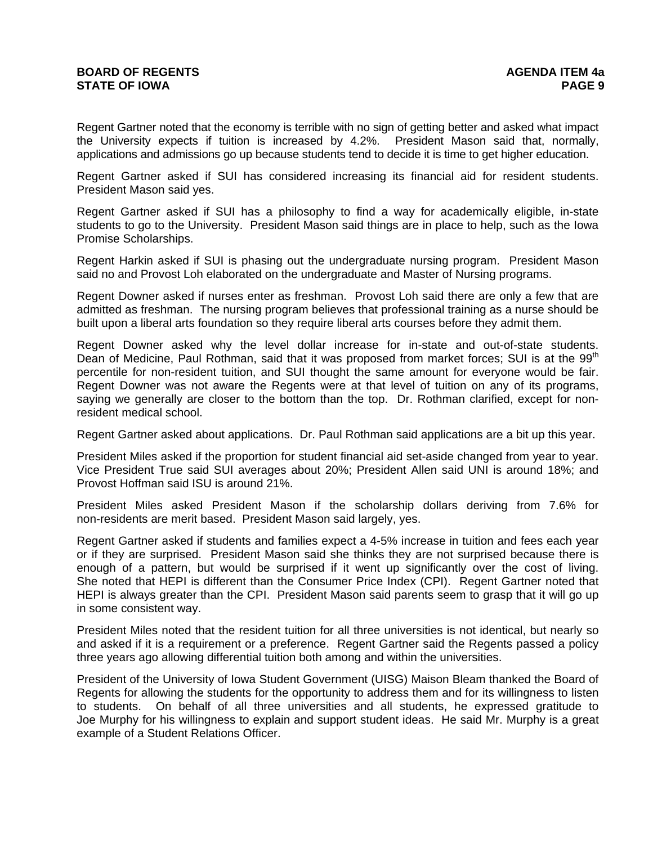Regent Gartner noted that the economy is terrible with no sign of getting better and asked what impact the University expects if tuition is increased by 4.2%. President Mason said that, normally, applications and admissions go up because students tend to decide it is time to get higher education.

Regent Gartner asked if SUI has considered increasing its financial aid for resident students. President Mason said yes.

Regent Gartner asked if SUI has a philosophy to find a way for academically eligible, in-state students to go to the University. President Mason said things are in place to help, such as the Iowa Promise Scholarships.

Regent Harkin asked if SUI is phasing out the undergraduate nursing program. President Mason said no and Provost Loh elaborated on the undergraduate and Master of Nursing programs.

Regent Downer asked if nurses enter as freshman. Provost Loh said there are only a few that are admitted as freshman. The nursing program believes that professional training as a nurse should be built upon a liberal arts foundation so they require liberal arts courses before they admit them.

Regent Downer asked why the level dollar increase for in-state and out-of-state students. Dean of Medicine, Paul Rothman, said that it was proposed from market forces; SUI is at the 99<sup>th</sup> percentile for non-resident tuition, and SUI thought the same amount for everyone would be fair. Regent Downer was not aware the Regents were at that level of tuition on any of its programs, saying we generally are closer to the bottom than the top. Dr. Rothman clarified, except for nonresident medical school.

Regent Gartner asked about applications. Dr. Paul Rothman said applications are a bit up this year.

President Miles asked if the proportion for student financial aid set-aside changed from year to year. Vice President True said SUI averages about 20%; President Allen said UNI is around 18%; and Provost Hoffman said ISU is around 21%.

President Miles asked President Mason if the scholarship dollars deriving from 7.6% for non-residents are merit based. President Mason said largely, yes.

Regent Gartner asked if students and families expect a 4-5% increase in tuition and fees each year or if they are surprised. President Mason said she thinks they are not surprised because there is enough of a pattern, but would be surprised if it went up significantly over the cost of living. She noted that HEPI is different than the Consumer Price Index (CPI). Regent Gartner noted that HEPI is always greater than the CPI. President Mason said parents seem to grasp that it will go up in some consistent way.

President Miles noted that the resident tuition for all three universities is not identical, but nearly so and asked if it is a requirement or a preference. Regent Gartner said the Regents passed a policy three years ago allowing differential tuition both among and within the universities.

President of the University of Iowa Student Government (UISG) Maison Bleam thanked the Board of Regents for allowing the students for the opportunity to address them and for its willingness to listen to students. On behalf of all three universities and all students, he expressed gratitude to Joe Murphy for his willingness to explain and support student ideas. He said Mr. Murphy is a great example of a Student Relations Officer.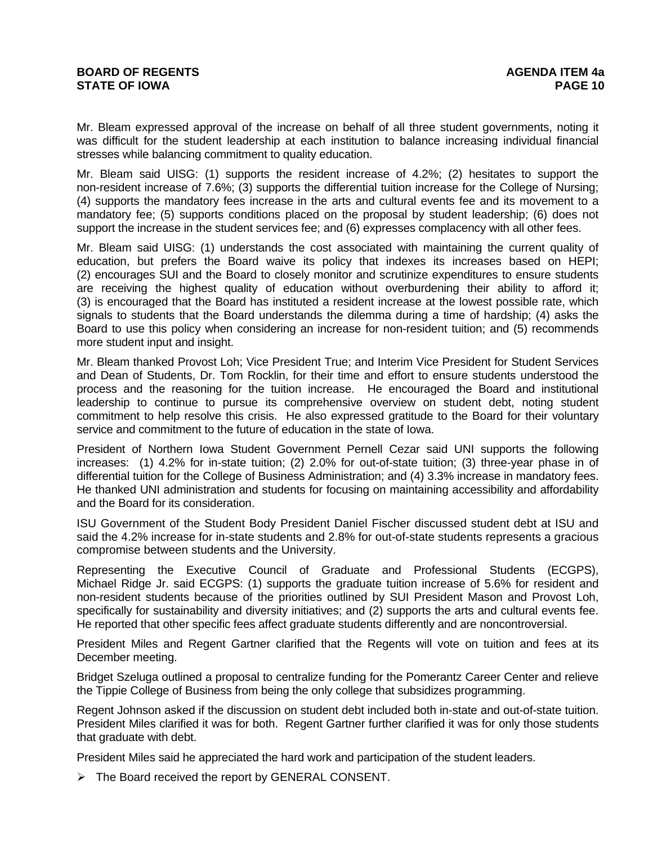## **BOARD OF REGENTS** AGENERAL BOARD OF REGENTS **STATE OF IOWA PAGE 10**

Mr. Bleam expressed approval of the increase on behalf of all three student governments, noting it was difficult for the student leadership at each institution to balance increasing individual financial stresses while balancing commitment to quality education.

Mr. Bleam said UISG: (1) supports the resident increase of 4.2%; (2) hesitates to support the non-resident increase of 7.6%; (3) supports the differential tuition increase for the College of Nursing; (4) supports the mandatory fees increase in the arts and cultural events fee and its movement to a mandatory fee; (5) supports conditions placed on the proposal by student leadership; (6) does not support the increase in the student services fee; and (6) expresses complacency with all other fees.

Mr. Bleam said UISG: (1) understands the cost associated with maintaining the current quality of education, but prefers the Board waive its policy that indexes its increases based on HEPI; (2) encourages SUI and the Board to closely monitor and scrutinize expenditures to ensure students are receiving the highest quality of education without overburdening their ability to afford it; (3) is encouraged that the Board has instituted a resident increase at the lowest possible rate, which signals to students that the Board understands the dilemma during a time of hardship; (4) asks the Board to use this policy when considering an increase for non-resident tuition; and (5) recommends more student input and insight.

Mr. Bleam thanked Provost Loh; Vice President True; and Interim Vice President for Student Services and Dean of Students, Dr. Tom Rocklin, for their time and effort to ensure students understood the process and the reasoning for the tuition increase. He encouraged the Board and institutional leadership to continue to pursue its comprehensive overview on student debt, noting student commitment to help resolve this crisis. He also expressed gratitude to the Board for their voluntary service and commitment to the future of education in the state of Iowa.

President of Northern Iowa Student Government Pernell Cezar said UNI supports the following increases: (1) 4.2% for in-state tuition; (2) 2.0% for out-of-state tuition; (3) three-year phase in of differential tuition for the College of Business Administration; and (4) 3.3% increase in mandatory fees. He thanked UNI administration and students for focusing on maintaining accessibility and affordability and the Board for its consideration.

ISU Government of the Student Body President Daniel Fischer discussed student debt at ISU and said the 4.2% increase for in-state students and 2.8% for out-of-state students represents a gracious compromise between students and the University.

Representing the Executive Council of Graduate and Professional Students (ECGPS), Michael Ridge Jr. said ECGPS: (1) supports the graduate tuition increase of 5.6% for resident and non-resident students because of the priorities outlined by SUI President Mason and Provost Loh, specifically for sustainability and diversity initiatives; and (2) supports the arts and cultural events fee. He reported that other specific fees affect graduate students differently and are noncontroversial.

President Miles and Regent Gartner clarified that the Regents will vote on tuition and fees at its December meeting.

Bridget Szeluga outlined a proposal to centralize funding for the Pomerantz Career Center and relieve the Tippie College of Business from being the only college that subsidizes programming.

Regent Johnson asked if the discussion on student debt included both in-state and out-of-state tuition. President Miles clarified it was for both. Regent Gartner further clarified it was for only those students that graduate with debt.

President Miles said he appreciated the hard work and participation of the student leaders.

 $\triangleright$  The Board received the report by GENERAL CONSENT.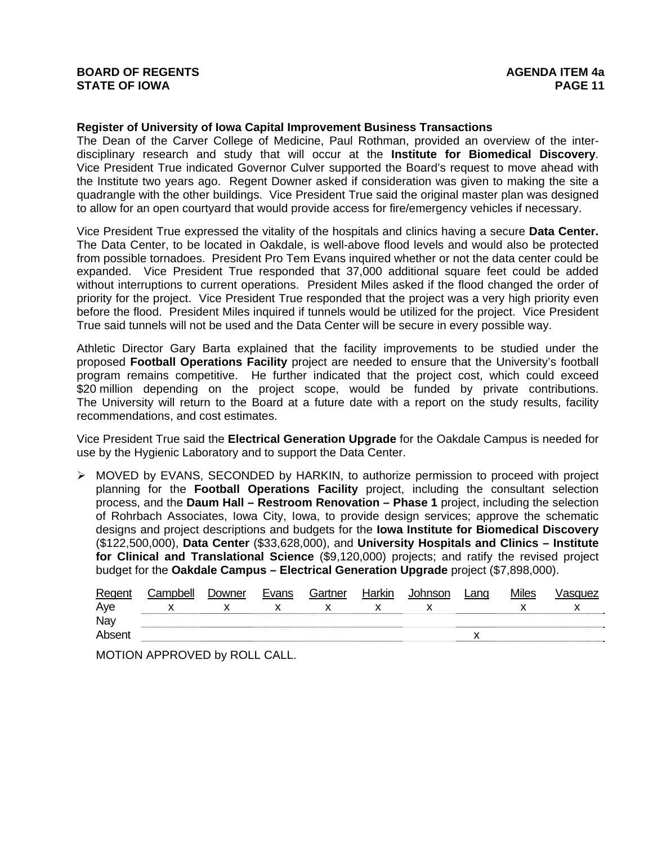### **Register of University of Iowa Capital Improvement Business Transactions**

The Dean of the Carver College of Medicine, Paul Rothman, provided an overview of the interdisciplinary research and study that will occur at the **Institute for Biomedical Discovery**. Vice President True indicated Governor Culver supported the Board's request to move ahead with the Institute two years ago. Regent Downer asked if consideration was given to making the site a quadrangle with the other buildings. Vice President True said the original master plan was designed to allow for an open courtyard that would provide access for fire/emergency vehicles if necessary.

Vice President True expressed the vitality of the hospitals and clinics having a secure **Data Center.**  The Data Center, to be located in Oakdale, is well-above flood levels and would also be protected from possible tornadoes. President Pro Tem Evans inquired whether or not the data center could be expanded. Vice President True responded that 37,000 additional square feet could be added without interruptions to current operations. President Miles asked if the flood changed the order of priority for the project. Vice President True responded that the project was a very high priority even before the flood. President Miles inquired if tunnels would be utilized for the project. Vice President True said tunnels will not be used and the Data Center will be secure in every possible way.

Athletic Director Gary Barta explained that the facility improvements to be studied under the proposed **Football Operations Facility** project are needed to ensure that the University's football program remains competitive. He further indicated that the project cost, which could exceed \$20 million depending on the project scope, would be funded by private contributions. The University will return to the Board at a future date with a report on the study results, facility recommendations, and cost estimates.

Vice President True said the **Electrical Generation Upgrade** for the Oakdale Campus is needed for use by the Hygienic Laboratory and to support the Data Center.

 $\triangleright$  MOVED by EVANS, SECONDED by HARKIN, to authorize permission to proceed with project planning for the **Football Operations Facility** project, including the consultant selection process, and the **Daum Hall – Restroom Renovation – Phase 1** project, including the selection of Rohrbach Associates, Iowa City, Iowa, to provide design services; approve the schematic designs and project descriptions and budgets for the **Iowa Institute for Biomedical Discovery** (\$122,500,000), **Data Center** (\$33,628,000), and **University Hospitals and Clinics – Institute for Clinical and Translational Science** (\$9,120,000) projects; and ratify the revised project budget for the **Oakdale Campus – Electrical Generation Upgrade** project (\$7,898,000).

| Regent | Campbell | Downer | Evans | Gartner | Harkin | Johnsor | Lang | <b>Miles</b> | /asquez |
|--------|----------|--------|-------|---------|--------|---------|------|--------------|---------|
| Aye    |          |        |       |         |        |         |      |              |         |
| Nay    |          |        |       |         |        |         |      |              |         |
| Absen  |          |        |       |         |        |         |      |              |         |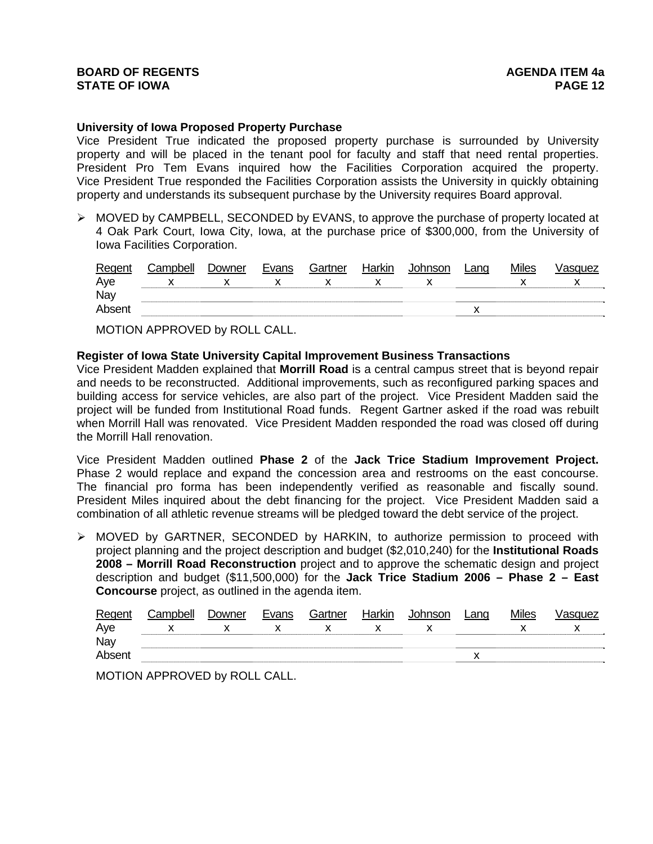### **University of Iowa Proposed Property Purchase**

Vice President True indicated the proposed property purchase is surrounded by University property and will be placed in the tenant pool for faculty and staff that need rental properties. President Pro Tem Evans inquired how the Facilities Corporation acquired the property. Vice President True responded the Facilities Corporation assists the University in quickly obtaining property and understands its subsequent purchase by the University requires Board approval.

 $\triangleright$  MOVED by CAMPBELL, SECONDED by EVANS, to approve the purchase of property located at 4 Oak Park Court, Iowa City, Iowa, at the purchase price of \$300,000, from the University of Iowa Facilities Corporation.

| Regent | Campbell | Downer | Evans | Gartner | Harkin | <b>Johnson</b> | Lang | <b>Miles</b> | √asquez |
|--------|----------|--------|-------|---------|--------|----------------|------|--------------|---------|
| Aye    |          |        |       |         |        |                |      |              |         |
| Nay    |          |        |       |         |        |                |      |              |         |
| Absent |          |        |       |         |        |                |      |              |         |

MOTION APPROVED by ROLL CALL.

### **Register of Iowa State University Capital Improvement Business Transactions**

Vice President Madden explained that **Morrill Road** is a central campus street that is beyond repair and needs to be reconstructed. Additional improvements, such as reconfigured parking spaces and building access for service vehicles, are also part of the project. Vice President Madden said the project will be funded from Institutional Road funds. Regent Gartner asked if the road was rebuilt when Morrill Hall was renovated. Vice President Madden responded the road was closed off during the Morrill Hall renovation.

Vice President Madden outlined **Phase 2** of the **Jack Trice Stadium Improvement Project.** Phase 2 would replace and expand the concession area and restrooms on the east concourse. The financial pro forma has been independently verified as reasonable and fiscally sound. President Miles inquired about the debt financing for the project. Vice President Madden said a combination of all athletic revenue streams will be pledged toward the debt service of the project.

¾ MOVED by GARTNER, SECONDED by HARKIN, to authorize permission to proceed with project planning and the project description and budget (\$2,010,240) for the **Institutional Roads 2008 – Morrill Road Reconstruction** project and to approve the schematic design and project description and budget (\$11,500,000) for the **Jack Trice Stadium 2006 – Phase 2 – East Concourse** project, as outlined in the agenda item.

| Regent | Campbell | Downer | Evans | Gartner | Harkin | Johnson | Land | <b>Miles</b> | √asɑuez |
|--------|----------|--------|-------|---------|--------|---------|------|--------------|---------|
| Aye    |          |        |       |         |        |         |      |              |         |
| Nay    |          |        |       |         |        |         |      |              |         |
| Absent |          |        |       |         |        |         |      |              |         |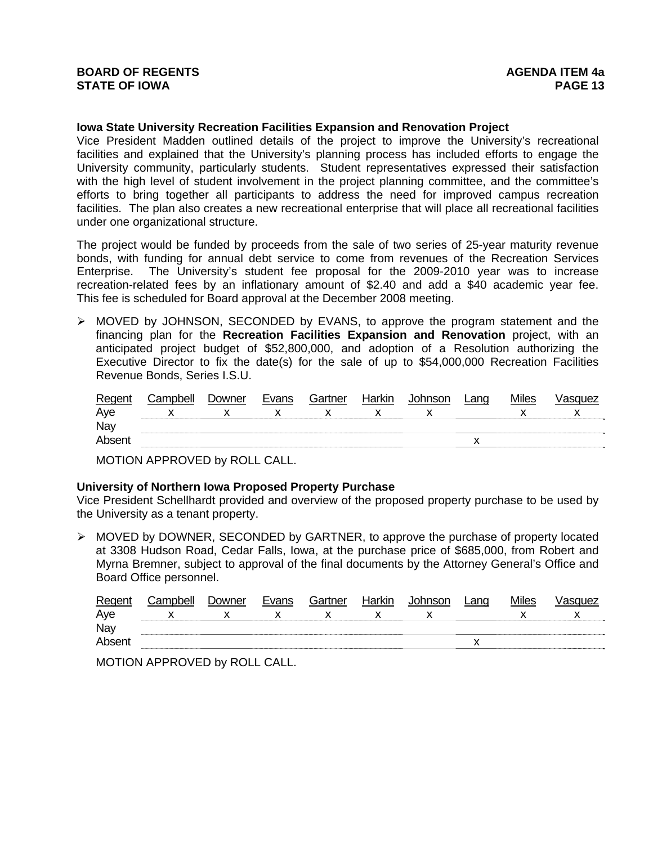#### **Iowa State University Recreation Facilities Expansion and Renovation Project**

Vice President Madden outlined details of the project to improve the University's recreational facilities and explained that the University's planning process has included efforts to engage the University community, particularly students. Student representatives expressed their satisfaction with the high level of student involvement in the project planning committee, and the committee's efforts to bring together all participants to address the need for improved campus recreation facilities. The plan also creates a new recreational enterprise that will place all recreational facilities under one organizational structure.

The project would be funded by proceeds from the sale of two series of 25-year maturity revenue bonds, with funding for annual debt service to come from revenues of the Recreation Services Enterprise. The University's student fee proposal for the 2009-2010 year was to increase recreation-related fees by an inflationary amount of \$2.40 and add a \$40 academic year fee. This fee is scheduled for Board approval at the December 2008 meeting.

¾ MOVED by JOHNSON, SECONDED by EVANS, to approve the program statement and the financing plan for the **Recreation Facilities Expansion and Renovation** project, with an anticipated project budget of \$52,800,000, and adoption of a Resolution authorizing the Executive Director to fix the date(s) for the sale of up to \$54,000,000 Recreation Facilities Revenue Bonds, Series I.S.U.

| Regent | Campbell | Downer | Evans | Gartner | Harkin | Johnson | Land | <b>Miles</b> | √asquez |
|--------|----------|--------|-------|---------|--------|---------|------|--------------|---------|
| Aye    |          |        |       |         |        |         |      |              |         |
| Nay    |          |        |       |         |        |         |      |              |         |
| Absent |          |        |       |         |        |         |      |              |         |

MOTION APPROVED by ROLL CALL.

## **University of Northern Iowa Proposed Property Purchase**

Vice President Schellhardt provided and overview of the proposed property purchase to be used by the University as a tenant property.

¾ MOVED by DOWNER, SECONDED by GARTNER, to approve the purchase of property located at 3308 Hudson Road, Cedar Falls, Iowa, at the purchase price of \$685,000, from Robert and Myrna Bremner, subject to approval of the final documents by the Attorney General's Office and Board Office personnel.

| Regent | Campbell | Downer | Evans | Gartner | Harkin | Johnson | .ana | <b>Miles</b> | ∕asɑuez |
|--------|----------|--------|-------|---------|--------|---------|------|--------------|---------|
| Aye    |          |        |       |         |        |         |      |              |         |
| Nay    |          |        |       |         |        |         |      |              |         |
| Absent |          |        |       |         |        |         |      |              |         |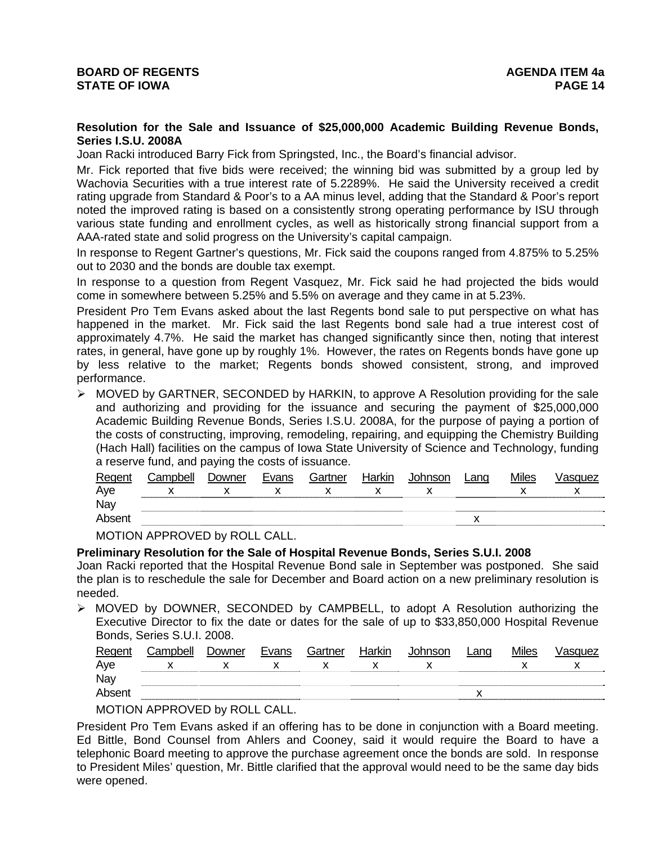## **Resolution for the Sale and Issuance of \$25,000,000 Academic Building Revenue Bonds, Series I.S.U. 2008A**

Joan Racki introduced Barry Fick from Springsted, Inc., the Board's financial advisor.

Mr. Fick reported that five bids were received; the winning bid was submitted by a group led by Wachovia Securities with a true interest rate of 5.2289%. He said the University received a credit rating upgrade from Standard & Poor's to a AA minus level, adding that the Standard & Poor's report noted the improved rating is based on a consistently strong operating performance by ISU through various state funding and enrollment cycles, as well as historically strong financial support from a AAA-rated state and solid progress on the University's capital campaign.

In response to Regent Gartner's questions, Mr. Fick said the coupons ranged from 4.875% to 5.25% out to 2030 and the bonds are double tax exempt.

In response to a question from Regent Vasquez, Mr. Fick said he had projected the bids would come in somewhere between 5.25% and 5.5% on average and they came in at 5.23%.

President Pro Tem Evans asked about the last Regents bond sale to put perspective on what has happened in the market. Mr. Fick said the last Regents bond sale had a true interest cost of approximately 4.7%. He said the market has changed significantly since then, noting that interest rates, in general, have gone up by roughly 1%. However, the rates on Regents bonds have gone up by less relative to the market; Regents bonds showed consistent, strong, and improved performance.

 $\triangleright$  MOVED by GARTNER, SECONDED by HARKIN, to approve A Resolution providing for the sale and authorizing and providing for the issuance and securing the payment of \$25,000,000 Academic Building Revenue Bonds, Series I.S.U. 2008A, for the purpose of paying a portion of the costs of constructing, improving, remodeling, repairing, and equipping the Chemistry Building (Hach Hall) facilities on the campus of Iowa State University of Science and Technology, funding a reserve fund, and paying the costs of issuance.

| Regent | Campbell | Downer | Evans | Gartner | Harkin | Johnson | Lanɑ | <b>Miles</b> | /asquez |
|--------|----------|--------|-------|---------|--------|---------|------|--------------|---------|
| Aye    |          |        |       |         |        |         |      |              |         |
| Nay    |          |        |       |         |        |         |      |              |         |
| Absent |          |        |       |         |        |         |      |              |         |

MOTION APPROVED by ROLL CALL.

#### **Preliminary Resolution for the Sale of Hospital Revenue Bonds, Series S.U.I. 2008**

Joan Racki reported that the Hospital Revenue Bond sale in September was postponed. She said the plan is to reschedule the sale for December and Board action on a new preliminary resolution is needed.

¾ MOVED by DOWNER, SECONDED by CAMPBELL, to adopt A Resolution authorizing the Executive Director to fix the date or dates for the sale of up to \$33,850,000 Hospital Revenue Bonds, Series S.U.I. 2008.

| Regent | Campbell | Jowner | Evans | ⊶artner | Harkin | nnson | Lang | Miles | JUEZ |
|--------|----------|--------|-------|---------|--------|-------|------|-------|------|
| Aye    |          |        |       |         |        |       |      |       | æ    |
| Nay    |          |        |       |         |        |       |      |       |      |
| Abser  |          |        |       |         |        |       |      |       |      |

MOTION APPROVED by ROLL CALL.

President Pro Tem Evans asked if an offering has to be done in conjunction with a Board meeting. Ed Bittle, Bond Counsel from Ahlers and Cooney, said it would require the Board to have a telephonic Board meeting to approve the purchase agreement once the bonds are sold. In response to President Miles' question, Mr. Bittle clarified that the approval would need to be the same day bids were opened.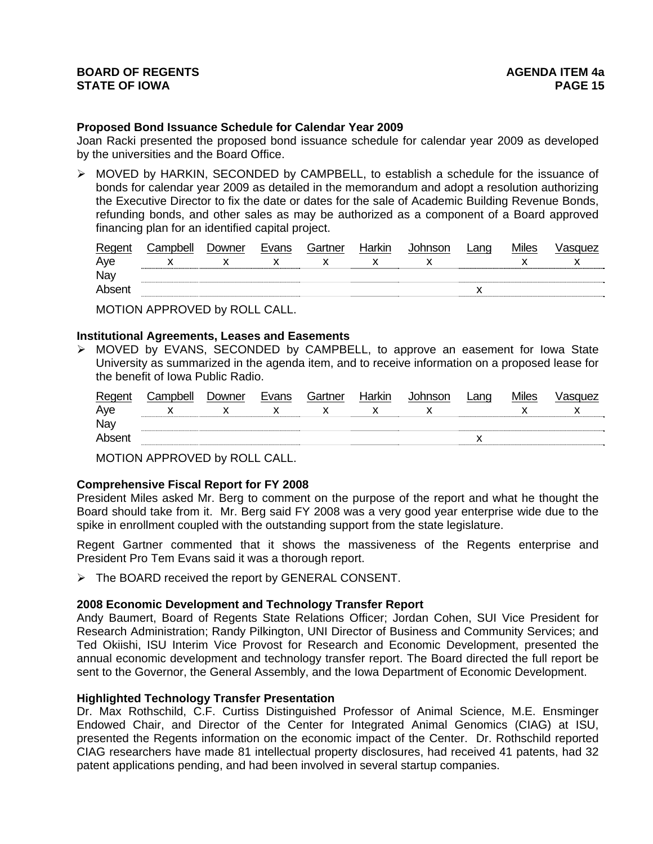### **Proposed Bond Issuance Schedule for Calendar Year 2009**

Joan Racki presented the proposed bond issuance schedule for calendar year 2009 as developed by the universities and the Board Office.

 $\triangleright$  MOVED by HARKIN, SECONDED by CAMPBELL, to establish a schedule for the issuance of bonds for calendar year 2009 as detailed in the memorandum and adopt a resolution authorizing the Executive Director to fix the date or dates for the sale of Academic Building Revenue Bonds, refunding bonds, and other sales as may be authorized as a component of a Board approved financing plan for an identified capital project.

| Regent | ;ampbell | <i>D</i> owner | Evans | Gartner | Harkın | าทรon<br>$\sim$ | ∟anq | Miles | uez |
|--------|----------|----------------|-------|---------|--------|-----------------|------|-------|-----|
| Ave    |          |                |       |         |        |                 |      |       |     |
| Nay    |          |                |       |         |        |                 |      |       |     |
| Abse   |          |                |       |         |        |                 |      |       |     |

MOTION APPROVED by ROLL CALL.

#### **Institutional Agreements, Leases and Easements**

¾ MOVED by EVANS, SECONDED by CAMPBELL, to approve an easement for Iowa State University as summarized in the agenda item, and to receive information on a proposed lease for the benefit of Iowa Public Radio.

| Regent | Campbell | Downer | Evans | Gartner | Harkin | Johnson | Lang | <b>Miles</b> | √asɑuez |
|--------|----------|--------|-------|---------|--------|---------|------|--------------|---------|
| Aye    |          |        |       |         |        |         |      |              |         |
| Nay    |          |        |       |         |        |         |      |              |         |
| Absent |          |        |       |         |        |         |      |              |         |
|        |          |        |       |         |        |         |      |              |         |

MOTION APPROVED by ROLL CALL.

## **Comprehensive Fiscal Report for FY 2008**

President Miles asked Mr. Berg to comment on the purpose of the report and what he thought the Board should take from it. Mr. Berg said FY 2008 was a very good year enterprise wide due to the spike in enrollment coupled with the outstanding support from the state legislature.

Regent Gartner commented that it shows the massiveness of the Regents enterprise and President Pro Tem Evans said it was a thorough report.

¾ The BOARD received the report by GENERAL CONSENT.

## **2008 Economic Development and Technology Transfer Report**

Andy Baumert, Board of Regents State Relations Officer; Jordan Cohen, SUI Vice President for Research Administration; Randy Pilkington, UNI Director of Business and Community Services; and Ted Okiishi, ISU Interim Vice Provost for Research and Economic Development, presented the annual economic development and technology transfer report. The Board directed the full report be sent to the Governor, the General Assembly, and the Iowa Department of Economic Development.

#### **Highlighted Technology Transfer Presentation**

Dr. Max Rothschild, C.F. Curtiss Distinguished Professor of Animal Science, M.E. Ensminger Endowed Chair, and Director of the Center for Integrated Animal Genomics (CIAG) at ISU, presented the Regents information on the economic impact of the Center. Dr. Rothschild reported CIAG researchers have made 81 intellectual property disclosures, had received 41 patents, had 32 patent applications pending, and had been involved in several startup companies.